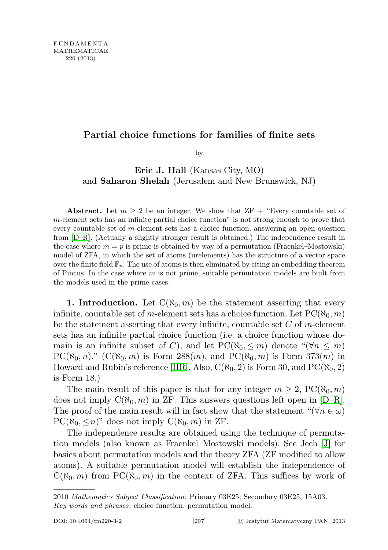## Partial choice functions for families of finite sets

by

Eric J. Hall (Kansas City, MO) and Saharon Shelah (Jerusalem and New Brunswick, NJ)

Abstract. Let  $m \geq 2$  be an integer. We show that  $ZF +$  "Every countable set of m-element sets has an infinite partial choice function" is not strong enough to prove that every countable set of m-element sets has a choice function, answering an open question from [\[D–R\]](#page-8-0). (Actually a slightly stronger result is obtained.) The independence result in the case where  $m = p$  is prime is obtained by way of a permutation (Fraenkel–Mostowski) model of ZFA, in which the set of atoms (urelements) has the structure of a vector space over the finite field  $\mathbb{F}_p$ . The use of atoms is then eliminated by citing an embedding theorem of Pincus. In the case where  $m$  is not prime, suitable permutation models are built from the models used in the prime cases.

**1. Introduction.** Let  $C(\aleph_0, m)$  be the statement asserting that every infinite, countable set of m-element sets has a choice function. Let  $PC(\aleph_0, m)$ be the statement asserting that every infinite, countable set  $C$  of m-element sets has an infinite partial choice function (i.e. a choice function whose domain is an infinite subset of C), and let  $PC(\aleph_0, \leq m)$  denote "( $\forall n \leq m$ )  $PC(\aleph_0, n)$ ."  $(C(\aleph_0, m)$  is Form 288 $(m)$ , and  $PC(\aleph_0, m)$  is Form 373 $(m)$  in Howard and Rubin's reference [\[HR\]](#page-9-0). Also,  $C(\aleph_0, 2)$  is Form 30, and  $PC(\aleph_0, 2)$ is Form 18.)

The main result of this paper is that for any integer  $m \geq 2$ ,  $PC(\aleph_0, m)$ does not imply  $C(\aleph_0, m)$  in ZF. This answers questions left open in [\[D–R\]](#page-8-0). The proof of the main result will in fact show that the statement " $(\forall n \in \omega)$  $PC(\aleph_0, \leq n)$ " does not imply  $C(\aleph_0, m)$  in ZF.

The independence results are obtained using the technique of permutation models (also known as Fraenkel–Mostowski models). See Jech [\[J\]](#page-9-1) for basics about permutation models and the theory ZFA (ZF modified to allow atoms). A suitable permutation model will establish the independence of  $C(\aleph_0, m)$  from  $PC(\aleph_0, m)$  in the context of ZFA. This suffices by work of

<sup>2010</sup> Mathematics Subject Classification: Primary 03E25; Secondary 03E25, 15A03. Key words and phrases: choice function, permutation model.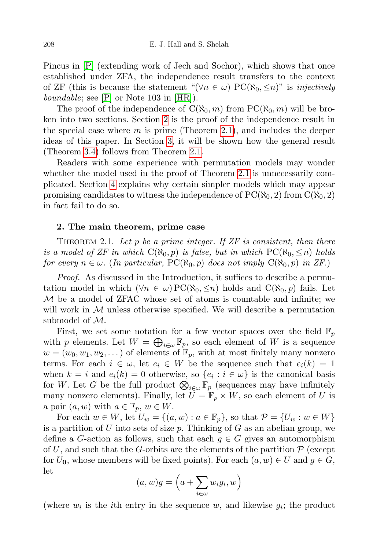Pincus in [\[P\]](#page-9-2) (extending work of Jech and Sochor), which shows that once established under ZFA, the independence result transfers to the context of ZF (this is because the statement " $(\forall n \in \omega)$  PC( $\aleph_0, \leq n$ )" is *injectively boundable*; see  $[P]$  or Note 103 in  $[HR]$ .

The proof of the independence of  $C(\aleph_0, m)$  from  $PC(\aleph_0, m)$  will be broken into two sections. Section [2](#page-1-0) is the proof of the independence result in the special case where  $m$  is prime (Theorem [2.1\)](#page-1-1), and includes the deeper ideas of this paper. In Section [3,](#page-6-0) it will be shown how the general result (Theorem [3.4\)](#page-7-0) follows from Theorem [2.1.](#page-1-1)

Readers with some experience with permutation models may wonder whether the model used in the proof of Theorem [2.1](#page-1-1) is unnecessarily complicated. Section [4](#page-8-1) explains why certain simpler models which may appear promising candidates to witness the independence of  $PC(\aleph_0, 2)$  from  $C(\aleph_0, 2)$ in fact fail to do so.

## <span id="page-1-0"></span>2. The main theorem, prime case

<span id="page-1-1"></span>THEOREM 2.1. Let  $p$  be a prime integer. If  $ZF$  is consistent, then there is a model of ZF in which  $C(\aleph_0, p)$  is false, but in which  $PC(\aleph_0, \leq n)$  holds for every  $n \in \omega$ . (In particular, PC( $\aleph_0, p$ ) does not imply  $C(\aleph_0, p)$  in ZF.)

Proof. As discussed in the Introduction, it suffices to describe a permutation model in which  $(\forall n \in \omega)$  PC( $\aleph_0, \leq n$ ) holds and C( $\aleph_0, p$ ) fails. Let M be a model of ZFAC whose set of atoms is countable and infinite; we will work in  $M$  unless otherwise specified. We will describe a permutation submodel of M.

First, we set some notation for a few vector spaces over the field  $\mathbb{F}_p$ with p elements. Let  $W = \bigoplus_{i \in \omega} \mathbb{F}_p$ , so each element of W is a sequence  $w = (w_0, w_1, w_2, \dots)$  of elements of  $\mathbb{F}_p$ , with at most finitely many nonzero terms. For each  $i \in \omega$ , let  $e_i \in W$  be the sequence such that  $e_i(k) = 1$ when  $k = i$  and  $e_i(k) = 0$  otherwise, so  $\{e_i : i \in \omega\}$  is the canonical basis for W. Let G be the full product  $\bigotimes_{i\in\omega} \mathbb{F}_p$  (sequences may have infinitely many nonzero elements). Finally, let  $U = \mathbb{F}_p \times W$ , so each element of U is a pair  $(a, w)$  with  $a \in \mathbb{F}_p$ ,  $w \in W$ .

For each  $w \in W$ , let  $U_w = \{(a, w) : a \in \mathbb{F}_p\}$ , so that  $\mathcal{P} = \{U_w : w \in W\}$ is a partition of  $U$  into sets of size  $p$ . Thinking of  $G$  as an abelian group, we define a G-action as follows, such that each  $g \in G$  gives an automorphism of U, and such that the G-orbits are the elements of the partition  $P$  (except for  $U_0$ , whose members will be fixed points). For each  $(a, w) \in U$  and  $g \in G$ , let

$$
(a, w)g = \left(a + \sum_{i \in \omega} w_i g_i, w\right)
$$

(where  $w_i$  is the *i*th entry in the sequence  $w$ , and likewise  $g_i$ ; the product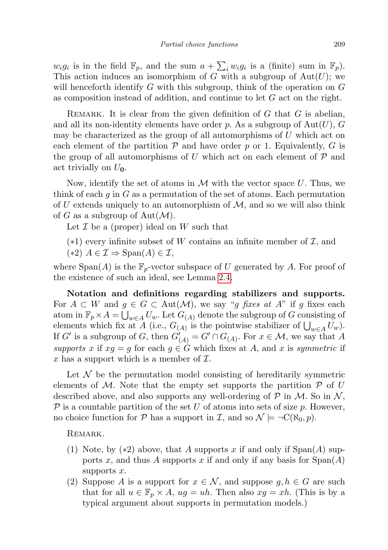$w_i g_i$  is in the field  $\mathbb{F}_p$ , and the sum  $a + \sum_i w_i g_i$  is a (finite) sum in  $\mathbb{F}_p$ ). This action induces an isomorphism of G with a subgroup of  $Aut(U)$ ; we will henceforth identify  $G$  with this subgroup, think of the operation on  $G$ as composition instead of addition, and continue to let G act on the right.

REMARK. It is clear from the given definition of  $G$  that  $G$  is abelian, and all its non-identity elements have order p. As a subgroup of  $Aut(U)$ , G may be characterized as the group of all automorphisms of  $U$  which act on each element of the partition  $P$  and have order p or 1. Equivalently, G is the group of all automorphisms of U which act on each element of  $P$  and act trivially on  $U_0$ .

Now, identify the set of atoms in  $\mathcal M$  with the vector space U. Thus, we think of each  $q$  in  $G$  as a permutation of the set of atoms. Each permutation of U extends uniquely to an automorphism of  $M$ , and so we will also think of G as a subgroup of  $Aut(M)$ .

Let  $\mathcal I$  be a (proper) ideal on  $W$  such that

- $(*1)$  every infinite subset of W contains an infinite member of  $\mathcal{I}$ , and
- $(*2)$   $A \in \mathcal{I} \Rightarrow$  Span $(A) \in \mathcal{I}$ ,

where  $Span(A)$  is the  $\mathbb{F}_p$ -vector subspace of U generated by A. For proof of the existence of such an ideal, see Lemma [2.4.](#page-5-0)

Notation and definitions regarding stabilizers and supports. For  $A \subset W$  and  $g \in G \subset Aut(M)$ , we say "q fixes at A" if q fixes each atom in  $\mathbb{F}_p \times A = \bigcup_{w \in A} U_w$ . Let  $G_{(A)}$  denote the subgroup of G consisting of elements which fix at A (i.e.,  $G_{(A)}$  is the pointwise stabilizer of  $\bigcup_{w \in A} U_w$ ). If G' is a subgroup of G, then  $G'_{(A)} = G' \cap G_{(A)}$ . For  $x \in \mathcal{M}$ , we say that A supports x if  $xg = g$  for each  $g \in G$  which fixes at A, and x is symmetric if x has a support which is a member of  $\mathcal{I}$ .

Let  $\mathcal N$  be the permutation model consisting of hereditarily symmetric elements of M. Note that the empty set supports the partition  $P$  of U described above, and also supports any well-ordering of  $\mathcal P$  in  $\mathcal M$ . So in  $\mathcal N$ ,  $\mathcal P$  is a countable partition of the set U of atoms into sets of size p. However, no choice function for P has a support in I, and so  $\mathcal{N} \models \neg C(\aleph_0, p)$ .

REMARK.

- (1) Note, by  $(*2)$  above, that A supports x if and only if  $Span(A)$  supports x, and thus A supports x if and only if any basis for  $Span(A)$ supports  $x$ .
- (2) Suppose A is a support for  $x \in \mathcal{N}$ , and suppose  $g, h \in G$  are such that for all  $u \in \mathbb{F}_p \times A$ ,  $ug = uh$ . Then also  $xg = xh$ . (This is by a typical argument about supports in permutation models.)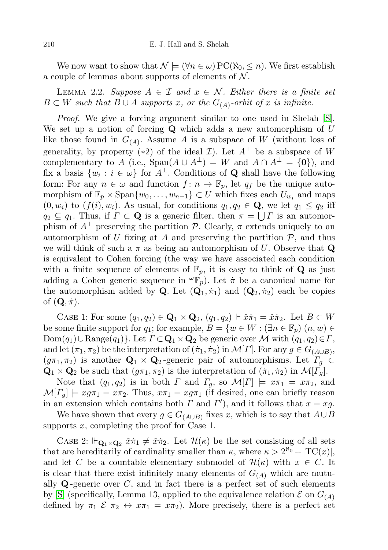We now want to show that  $\mathcal{N} \models (\forall n \in \omega) \operatorname{PC}(\aleph_0, \leq n)$ . We first establish a couple of lemmas about supports of elements of  $N$ .

<span id="page-3-0"></span>LEMMA 2.2. Suppose  $A \in \mathcal{I}$  and  $x \in \mathcal{N}$ . Either there is a finite set  $B \subset W$  such that  $B \cup A$  supports x, or the  $G_{(A)}$ -orbit of x is infinite.

Proof. We give a forcing argument similar to one used in Shelah [\[S\]](#page-9-3). We set up a notion of forcing  $Q$  which adds a new automorphism of  $U$ like those found in  $G_{(A)}$ . Assume A is a subspace of W (without loss of generality, by property (\*2) of the ideal  $\mathcal{I}$ ). Let  $A^{\perp}$  be a subspace of W complementary to A (i.e.,  $\text{Span}(A \cup A^{\perp}) = W$  and  $A \cap A^{\perp} = \{0\}$ ), and fix a basis  $\{w_i : i \in \omega\}$  for  $A^{\perp}$ . Conditions of **Q** shall have the following form: For any  $n \in \omega$  and function  $f: n \to \mathbb{F}_p$ , let  $q_f$  be the unique automorphism of  $\mathbb{F}_p \times \text{Span}\{w_0, \ldots, w_{n-1}\} \subset U$  which fixes each  $U_{w_i}$  and maps  $(0, w_i)$  to  $(f(i), w_i)$ . As usual, for conditions  $q_1, q_2 \in \mathbf{Q}$ , we let  $q_1 \leq q_2$  iff  $q_2 \subseteq q_1$ . Thus, if  $\Gamma \subset \mathbf{Q}$  is a generic filter, then  $\pi = \bigcup \Gamma$  is an automorphism of  $A^{\perp}$  preserving the partition P. Clearly,  $\pi$  extends uniquely to an automorphism of U fixing at A and preserving the partition  $P$ , and thus we will think of such a  $\pi$  as being an automorphism of U. Observe that Q is equivalent to Cohen forcing (the way we have associated each condition with a finite sequence of elements of  $\mathbb{F}_p$ , it is easy to think of **Q** as just adding a Cohen generic sequence in  ${}^{\omega} \mathbb{F}_p$ . Let  $\dot{\pi}$  be a canonical name for the automorphism added by **Q**. Let  $(Q_1, \pi_1)$  and  $(Q_2, \pi_2)$  each be copies of  $(\mathbf{Q}, \dot{\pi})$ .

CASE 1: For some  $(q_1, q_2) \in \mathbf{Q}_1 \times \mathbf{Q}_2$ ,  $(q_1, q_2) \Vdash \check{x}\check{\pi}_1 = \check{x}\check{\pi}_2$ . Let  $B \subset W$ be some finite support for  $q_1$ ; for example,  $B = \{w \in W : (\exists n \in \mathbb{F}_p) (n, w) \in$  $Dom(q_1) \cup Range(q_1)$ . Let  $\Gamma \subset \mathbf{Q}_1 \times \mathbf{Q}_2$  be generic over M with  $(q_1, q_2) \in \Gamma$ , and let  $(\pi_1, \pi_2)$  be the interpretation of  $(\dot{\pi}_1, \dot{\pi}_2)$  in  $\mathcal{M}[\Gamma]$ . For any  $g \in G_{(A\cup B)}$ ,  $(g\pi_1, \pi_2)$  is another  $\mathbf{Q}_1 \times \mathbf{Q}_2$ -generic pair of automorphisms. Let  $\Gamma_q \subset$  $\mathbf{Q}_1 \times \mathbf{Q}_2$  be such that  $(g\pi_1, \pi_2)$  is the interpretation of  $(\pi_1, \pi_2)$  in  $\mathcal{M}[T_g]$ .

Note that  $(q_1, q_2)$  is in both  $\Gamma$  and  $\Gamma_q$ , so  $\mathcal{M}[\Gamma] \models x\pi_1 = x\pi_2$ , and  $\mathcal{M}[F_g] \models x g \pi_1 = x \pi_2$ . Thus,  $x \pi_1 = x g \pi_1$  (if desired, one can briefly reason in an extension which contains both  $\Gamma$  and  $\Gamma'$ ), and it follows that  $x = xg$ .

We have shown that every  $g \in G_{(A\cup B)}$  fixes x, which is to say that  $A \cup B$ supports x, completing the proof for Case 1.

CASE 2:  $\mathbb{H}_{\mathbf{Q}_1 \times \mathbf{Q}_2} \check{x} \check{\pi}_1 \neq \check{x} \check{\pi}_2$ . Let  $\mathcal{H}(\kappa)$  be the set consisting of all sets that are hereditarily of cardinality smaller than  $\kappa$ , where  $\kappa > 2^{\aleph_0} + |TC(x)|$ , and let C be a countable elementary submodel of  $\mathcal{H}(\kappa)$  with  $x \in C$ . It is clear that there exist infinitely many elements of  $G_{(A)}$  which are mutually  $\mathbf Q$ -generic over C, and in fact there is a perfect set of such elements by [\[S\]](#page-9-3) (specifically, Lemma 13, applied to the equivalence relation  $\mathcal E$  on  $G_{(A)}$ defined by  $\pi_1 \mathcal{E} \pi_2 \leftrightarrow x \pi_1 = x \pi_2$ . More precisely, there is a perfect set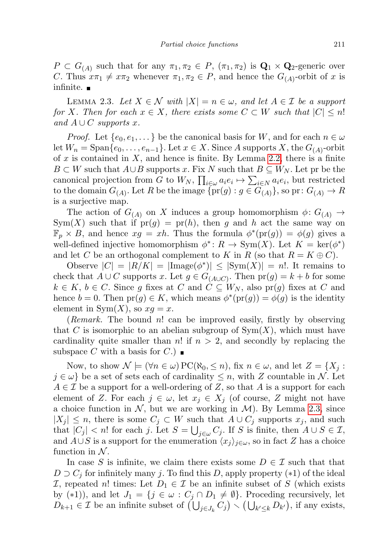$P \subset G_{(A)}$  such that for any  $\pi_1, \pi_2 \in P$ ,  $(\pi_1, \pi_2)$  is  $\mathbf{Q}_1 \times \mathbf{Q}_2$ -generic over C. Thus  $x\pi_1 \neq x\pi_2$  whenever  $\pi_1, \pi_2 \in P$ , and hence the  $G_{(A)}$ -orbit of x is infinite.  $\blacksquare$ 

<span id="page-4-0"></span>LEMMA 2.3. Let  $X \in \mathcal{N}$  with  $|X| = n \in \omega$ , and let  $A \in \mathcal{I}$  be a support for X. Then for each  $x \in X$ , there exists some  $C \subset W$  such that  $|C| \leq n!$ and  $A\cup C$  supports x.

*Proof.* Let  $\{e_0, e_1, \dots\}$  be the canonical basis for W, and for each  $n \in \omega$ let  $W_n = \text{Span}\{e_0, \ldots, e_{n-1}\}.$  Let  $x \in X.$  Since A supports X, the  $G_{(A)}$ -orbit of x is contained in X, and hence is finite. By Lemma [2.2,](#page-3-0) there is a finite  $B \subset W$  such that  $A \cup B$  supports x. Fix N such that  $B \subseteq W_N$ . Let pr be the canonical projection from G to  $W_N$ ,  $\prod_{i \in \omega} a_i e_i \mapsto \sum_{i \in N} a_i e_i$ , but restricted to the domain  $G_{(A)}$ . Let R be the image  $\{pr(g) : g \in G_{(A)}\}$ , so  $pr: G_{(A)} \to R$ is a surjective map.

The action of  $G_{(A)}$  on X induces a group homomorphism  $\phi: G_{(A)} \to$ Sym(X) such that if  $pr(g) = pr(h)$ , then g and h act the same way on  $\mathbb{F}_p \times B$ , and hence  $xg = xh$ . Thus the formula  $\phi^*(pr(g)) = \phi(g)$  gives a well-defined injective homomorphism  $\phi^* \colon R \to \text{Sym}(X)$ . Let  $K = \text{ker}(\phi^*)$ and let C be an orthogonal complement to K in R (so that  $R = K \oplus C$ ).

Observe  $|C| = |R/K| = |\text{Image}(\phi^*)| \leq |\text{Sym}(X)| = n!$ . It remains to check that  $A \cup C$  supports x. Let  $g \in G_{(A \cup C)}$ . Then  $pr(g) = k + b$  for some  $k \in K, b \in C$ . Since g fixes at C and  $C \subseteq W_N$ , also pr(g) fixes at C and hence  $b = 0$ . Then  $pr(g) \in K$ , which means  $\phi^*(pr(g)) = \phi(g)$  is the identity element in  $\text{Sym}(X)$ , so  $xq = x$ .

(*Remark*. The bound n! can be improved easily, firstly by observing that C is isomorphic to an abelian subgroup of  $Sym(X)$ , which must have cardinality quite smaller than n! if  $n > 2$ , and secondly by replacing the subspace C with a basis for  $C$ .)

Now, to show  $\mathcal{N} \models (\forall n \in \omega) \, \text{PC}(\aleph_0, \leq n)$ , fix  $n \in \omega$ , and let  $Z = \{X_i :$  $j \in \omega$  be a set of sets each of cardinality  $\leq n$ , with Z countable in N. Let  $A \in \mathcal{I}$  be a support for a well-ordering of Z, so that A is a support for each element of Z. For each  $j \in \omega$ , let  $x_j \in X_j$  (of course, Z might not have a choice function in  $N$ , but we are working in  $M$ ). By Lemma [2.3,](#page-4-0) since  $|X_i| \leq n$ , there is some  $C_i \subset W$  such that  $A \cup C_j$  supports  $x_i$ , and such that  $|C_j| < n!$  for each j. Let  $S = \bigcup_{j \in \omega} C_j$ . If S is finite, then  $A \cup S \in \mathcal{I}$ , and  $A\cup S$  is a support for the enumeration  $\langle x_j \rangle_{j\in\omega}$ , so in fact Z has a choice function in  $N$ .

In case S is infinite, we claim there exists some  $D \in \mathcal{I}$  such that that  $D \supset C_i$  for infinitely many j. To find this D, apply property (\*1) of the ideal I, repeated n! times: Let  $D_1 \in \mathcal{I}$  be an infinite subset of S (which exists by (\*1)), and let  $J_1 = \{j \in \omega : C_j \cap D_1 \neq \emptyset\}$ . Proceding recursively, let  $D_{k+1} \in \mathcal{I}$  be an infinite subset of  $\left(\bigcup_{j \in J_k} C_j\right) \setminus \left(\bigcup_{k' \leq k} D_{k'}\right)$ , if any exists,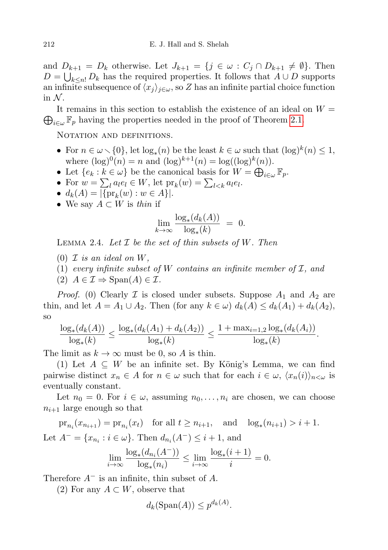and  $D_{k+1} = D_k$  otherwise. Let  $J_{k+1} = \{j \in \omega : C_j \cap D_{k+1} \neq \emptyset\}$ . Then  $D = \bigcup_{k \leq n!} D_k$  has the required properties. It follows that  $A \cup D$  supports an infinite subsequence of  $\langle x_j \rangle_{j \in \omega}$ , so Z has an infinite partial choice function in  $\mathcal N$ .

 $\bigoplus_{i\in\omega} \mathbb{F}_p$  having the properties needed in the proof of Theorem [2.1.](#page-1-1) It remains in this section to establish the existence of an ideal on  $W =$ 

NOTATION AND DEFINITIONS.

- For  $n \in \omega \setminus \{0\}$ , let  $\log_*(n)$  be the least  $k \in \omega$  such that  $(\log)^k(n) \leq 1$ , where  $(\log)^0(n) = n$  and  $(\log)^{k+1}(n) = \log((\log)^k(n)).$
- Let  $\{e_k : k \in \omega\}$  be the canonical basis for  $W = \bigoplus_{i \in \omega} \mathbb{F}_p$ .
- For  $w = \sum_l a_l e_l \in W$ , let  $\text{pr}_k(w) = \sum_{l \leq k} a_l e_l$ .
- $d_k(A) = |\{\text{pr}_k(w) : w \in A\}|.$
- We say  $A \subset W$  is thin if

$$
\lim_{k \to \infty} \frac{\log_*(d_k(A))}{\log_*(k)} = 0.
$$

<span id="page-5-0"></span>LEMMA 2.4. Let  $\mathcal I$  be the set of thin subsets of W. Then

- $(0)$  *I* is an ideal on W,
- (1) every infinite subset of W contains an infinite member of  $\mathcal{I}$ , and

 $(2)$   $A \in \mathcal{I} \Rightarrow$  Span $(A) \in \mathcal{I}$ .

*Proof.* (0) Clearly  $\mathcal I$  is closed under subsets. Suppose  $A_1$  and  $A_2$  are thin, and let  $A = A_1 \cup A_2$ . Then (for any  $k \in \omega$ )  $d_k(A) \leq d_k(A_1) + d_k(A_2)$ , so

$$
\frac{\log_*(d_k(A))}{\log_*(k)} \le \frac{\log_*(d_k(A_1) + d_k(A_2))}{\log_*(k)} \le \frac{1 + \max_{i=1,2} \log_*(d_k(A_i))}{\log_*(k)}.
$$

The limit as  $k \to \infty$  must be 0, so A is thin.

(1) Let  $A \subseteq W$  be an infinite set. By König's Lemma, we can find pairwise distinct  $x_n \in A$  for  $n \in \omega$  such that for each  $i \in \omega$ ,  $\langle x_n(i) \rangle_{n \leq \omega}$  is eventually constant.

Let  $n_0 = 0$ . For  $i \in \omega$ , assuming  $n_0, \ldots, n_i$  are chosen, we can choose  $n_{i+1}$  large enough so that

 $pr_{n_i}(x_{n_{i+1}}) = pr_{n_i}(x_t)$  for all  $t \ge n_{i+1}$ , and  $log_*(n_{i+1}) > i+1$ . Let  $A^- = \{x_{n_i} : i \in \omega\}$ . Then  $d_{n_i}(A^-) \leq i+1$ , and

$$
\lim_{i \to \infty} \frac{\log_*(d_{n_i}(A^-))}{\log_*(n_i)} \le \lim_{i \to \infty} \frac{\log_*(i+1)}{i} = 0.
$$

Therefore  $A^-$  is an infinite, thin subset of A.

(2) For any  $A \subset W$ , observe that

$$
d_k(\text{Span}(A)) \le p^{d_k(A)}.
$$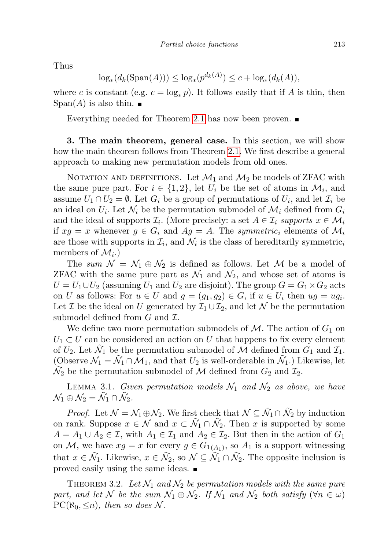Thus

$$
\log_*(d_k(\text{Span}(A))) \le \log_*(p^{d_k(A)}) \le c + \log_*(d_k(A)),
$$

where c is constant (e.g.  $c = \log_* p$ ). It follows easily that if A is thin, then  $Span(A)$  is also thin.  $\blacksquare$ 

Everything needed for Theorem [2.1](#page-1-1) has now been proven.

<span id="page-6-0"></span>3. The main theorem, general case. In this section, we will show how the main theorem follows from Theorem [2.1.](#page-1-1) We first describe a general approach to making new permutation models from old ones.

NOTATION AND DEFINITIONS. Let  $\mathcal{M}_1$  and  $\mathcal{M}_2$  be models of ZFAC with the same pure part. For  $i \in \{1,2\}$ , let  $U_i$  be the set of atoms in  $\mathcal{M}_i$ , and assume  $U_1 \cap U_2 = \emptyset$ . Let  $G_i$  be a group of permutations of  $U_i$ , and let  $\mathcal{I}_i$  be an ideal on  $U_i$ . Let  $\mathcal{N}_i$  be the permutation submodel of  $\mathcal{M}_i$  defined from  $G_i$ and the ideal of supports  $\mathcal{I}_i$ . (More precisely: a set  $A \in \mathcal{I}_i$  supports  $x \in \mathcal{M}_i$ if  $xg = x$  whenever  $g \in G_i$  and  $Ag = A$ . The symmetric<sub>i</sub> elements of  $\mathcal{M}_i$ are those with supports in  $\mathcal{I}_i$ , and  $\mathcal{N}_i$  is the class of hereditarily symmetric<sub>i</sub> members of  $\mathcal{M}_{i}$ .)

The sum  $\mathcal{N} = \mathcal{N}_1 \oplus \mathcal{N}_2$  is defined as follows. Let  $\mathcal M$  be a model of ZFAC with the same pure part as  $\mathcal{N}_1$  and  $\mathcal{N}_2$ , and whose set of atoms is  $U = U_1 \cup U_2$  (assuming  $U_1$  and  $U_2$  are disjoint). The group  $G = G_1 \times G_2$  acts on U as follows: For  $u \in U$  and  $g = (g_1, g_2) \in G$ , if  $u \in U_i$  then  $ug = ug_i$ . Let I be the ideal on U generated by  $\mathcal{I}_1 \cup \mathcal{I}_2$ , and let N be the permutation submodel defined from  $G$  and  $\mathcal{I}$ .

We define two more permutation submodels of  $\mathcal{M}$ . The action of  $G_1$  on  $U_1 \subset U$  can be considered an action on U that happens to fix every element of  $U_2$ . Let  $\tilde{\mathcal{N}}_1$  be the permutation submodel of  $\tilde{\mathcal{M}}$  defined from  $G_1$  and  $\mathcal{I}_1$ . (Observe  $\mathcal{N}_1 = \tilde{\mathcal{N}}_1 \cap \tilde{\mathcal{M}}_1$ , and that  $U_2$  is well-orderable in  $\tilde{\mathcal{N}}_1$ .) Likewise, let  $\widetilde{\mathcal{N}}_2$  be the permutation submodel of  $\mathcal M$  defined from  $G_2$  and  $\mathcal{I}_2$ .

<span id="page-6-1"></span>LEMMA 3.1. Given permutation models  $\mathcal{N}_1$  and  $\mathcal{N}_2$  as above, we have  $\mathcal{N}_1 \oplus \mathcal{N}_2 = \tilde{\mathcal{N}}_1 \cap \tilde{\mathcal{N}}_2.$ 

*Proof.* Let  $\mathcal{N} = \mathcal{N}_1 \oplus \mathcal{N}_2$ . We first check that  $\mathcal{N} \subseteq \tilde{\mathcal{N}}_1 \cap \tilde{\mathcal{N}}_2$  by induction on rank. Suppose  $x \in \mathcal{N}$  and  $x \subset \tilde{\mathcal{N}}_1 \cap \tilde{\mathcal{N}}_2$ . Then x is supported by some  $A = A_1 \cup A_2 \in \mathcal{I}$ , with  $A_1 \in \mathcal{I}$  and  $A_2 \in \mathcal{I}$ . But then in the action of  $G_1$ on M, we have  $xg = x$  for every  $g \in G_{1(A_1)}$ , so  $A_1$  is a support witnessing that  $x \in \tilde{\mathcal{N}}_1$ . Likewise,  $x \in \tilde{\mathcal{N}}_2$ , so  $\mathcal{N} \subseteq \tilde{\mathcal{N}}_1 \cap \tilde{\mathcal{N}}_2$ . The opposite inclusion is proved easily using the same ideas.

<span id="page-6-2"></span>THEOREM 3.2. Let  $\mathcal{N}_1$  and  $\mathcal{N}_2$  be permutation models with the same pure part, and let N be the sum  $\mathcal{N}_1 \oplus \mathcal{N}_2$ . If  $\mathcal{N}_1$  and  $\mathcal{N}_2$  both satisfy  $(\forall n \in \omega)$  $PC(\aleph_0, \leq n)$ , then so does N.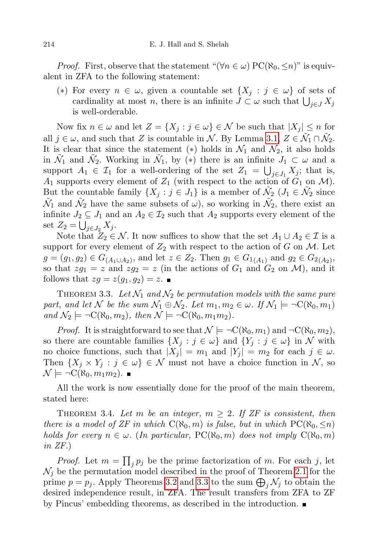*Proof.* First, observe that the statement " $(\forall n \in \omega) PC(\aleph_0, \leq n)$ " is equivalent in ZFA to the following statement:

(\*) For every  $n \in \omega$ , given a countable set  $\{X_j : j \in \omega\}$  of sets of cardinality at most n, there is an infinite  $J \subset \omega$  such that  $\bigcup_{j \in J} X_j$ is well-orderable.

Now fix  $n \in \omega$  and let  $Z = \{X_j : j \in \omega\} \in \mathcal{N}$  be such that  $|X_j| \leq n$  for all  $j \in \omega$ , and such that Z is countable in N. By Lemma [3.1,](#page-6-1)  $Z \in \tilde{\mathcal{N}}_1 \cap \tilde{\mathcal{N}}_2$ . It is clear that since the statement (\*) holds in  $\mathcal{N}_1$  and  $\mathcal{N}_2$ , it also holds in  $\tilde{\mathcal{N}}_1$  and  $\tilde{\mathcal{N}}_2$ . Working in  $\tilde{\mathcal{N}}_1$ , by (\*) there is an infinite  $J_1 \subset \omega$  and a support  $A_1 \in \mathcal{I}_1$  for a well-ordering of the set  $Z_1 = \bigcup_{j \in J_1} X_j$ ; that is,  $A_1$  supports every element of  $Z_1$  (with respect to the action of  $G_1$  on  $\mathcal{M}$ ). But the countable family  $\{X_j : j \in J_1\}$  is a member of  $\tilde{\mathcal{N}}_2$   $(J_1 \in \tilde{\mathcal{N}}_2$  since  $\tilde{\mathcal{N}}_1$  and  $\tilde{\mathcal{N}}_2$  have the same subsets of  $\omega$ ), so working in  $\tilde{\mathcal{N}}_2$ , there exist an infinite  $J_2 \subseteq J_1$  and an  $A_2 \in \mathcal{I}_2$  such that  $A_2$  supports every element of the set  $Z_2 = \bigcup_{j \in J_2} X_j$ .

Note that  $Z_2 \in \mathcal{N}$ . It now suffices to show that the set  $A_1 \cup A_2 \in \mathcal{I}$  is a support for every element of  $Z_2$  with respect to the action of G on M. Let  $g = (g_1, g_2) \in G_{(A_1 \cup A_2)}$ , and let  $z \in Z_2$ . Then  $g_1 \in G_{1(A_1)}$  and  $g_2 \in G_{2(A_2)}$ , so that  $zg_1 = z$  and  $zg_2 = z$  (in the actions of  $G_1$  and  $G_2$  on  $\mathcal{M}$ ), and it follows that  $zg = z(g_1, g_2) = z$ .

<span id="page-7-1"></span>THEOREM 3.3. Let  $\mathcal{N}_1$  and  $\mathcal{N}_2$  be permutation models with the same pure part, and let N be the sum  $\mathcal{N}_1 \oplus \mathcal{N}_2$ . Let  $m_1, m_2 \in \omega$ . If  $\mathcal{N}_1 \models \neg C(\aleph_0, m_1)$ and  $\mathcal{N}_2 \models \neg C(\aleph_0, m_2)$ , then  $\mathcal{N} \models \neg C(\aleph_0, m_1m_2)$ .

*Proof.* It is straightforward to see that  $\mathcal{N} \models \neg C(\aleph_0, m_1)$  and  $\neg C(\aleph_0, m_2)$ , so there are countable families  $\{X_j : j \in \omega\}$  and  $\{Y_j : j \in \omega\}$  in N with no choice functions, such that  $|X_j| = m_1$  and  $|Y_j| = m_2$  for each  $j \in \omega$ . Then  $\{X_j \times Y_j : j \in \omega\} \in \mathcal{N}$  must not have a choice function in  $\mathcal{N}$ , so  $\mathcal{N} \models \neg C(\aleph_0, m_1m_2)$ .

All the work is now essentially done for the proof of the main theorem, stated here:

<span id="page-7-0"></span>THEOREM 3.4. Let m be an integer,  $m \geq 2$ . If ZF is consistent, then there is a model of ZF in which  $C(\aleph_0, m)$  is false, but in which  $PC(\aleph_0, \leq n)$ holds for every  $n \in \omega$ . (In particular, PC( $\aleph_0, m$ ) does not imply  $C(\aleph_0, m)$ in ZF.)

*Proof.* Let  $m = \prod_j p_j$  be the prime factorization of m. For each j, let  $\mathcal{N}_j$  be the permutation model described in the proof of Theorem [2.1](#page-1-1) for the prime  $p = p_j$ . Apply Theorems [3.2](#page-6-2) and [3.3](#page-7-1) to the sum  $\bigoplus_j \mathcal{N}_j$  to obtain the desired independence result, in ZFA. The result transfers from ZFA to ZF by Pincus' embedding theorems, as described in the introduction.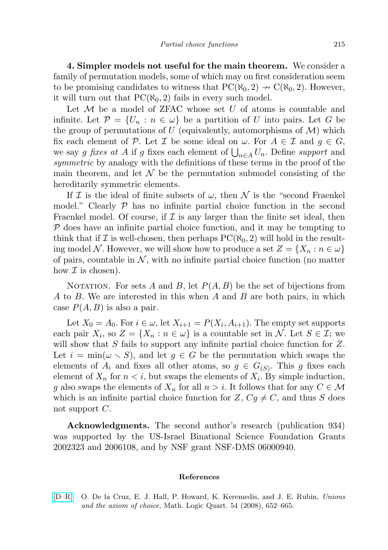<span id="page-8-1"></span>4. Simpler models not useful for the main theorem. We consider a family of permutation models, some of which may on first consideration seem to be promising candidates to witness that  $PC(\aleph_0, 2) \rightarrow C(\aleph_0, 2)$ . However, it will turn out that  $PC(\aleph_0, 2)$  fails in every such model.

Let  $M$  be a model of ZFAC whose set  $U$  of atoms is countable and infinite. Let  $\mathcal{P} = \{U_n : n \in \omega\}$  be a partition of U into pairs. Let G be the group of permutations of U (equivalently, automorphisms of  $\mathcal{M}$ ) which fix each element of P. Let I be some ideal on  $\omega$ . For  $A \in \mathcal{I}$  and  $g \in G$ , we say g fixes at A if g fixes each element of  $\bigcup_{n\in A} U_n$ . Define support and symmetric by analogy with the definitions of these terms in the proof of the main theorem, and let  $\mathcal N$  be the permutation submodel consisting of the hereditarily symmetric elements.

If I is the ideal of finite subsets of  $\omega$ , then N is the "second Fraenkel model." Clearly  $P$  has no infinite partial choice function in the second Fraenkel model. Of course, if  $\mathcal I$  is any larger than the finite set ideal, then  $P$  does have an infinite partial choice function, and it may be tempting to think that if I is well-chosen, then perhaps  $PC(\aleph_0, 2)$  will hold in the resulting model N. However, we will show how to produce a set  $Z = \{X_n : n \in \omega\}$ of pairs, countable in  $\mathcal N$ , with no infinite partial choice function (no matter how  $\mathcal I$  is chosen).

NOTATION. For sets A and B, let  $P(A, B)$  be the set of bijections from A to B. We are interested in this when A and B are both pairs, in which case  $P(A, B)$  is also a pair.

Let  $X_0 = A_0$ . For  $i \in \omega$ , let  $X_{i+1} = P(X_i, A_{i+1})$ . The empty set supports each pair  $X_i$ , so  $Z = \{X_n : n \in \omega\}$  is a countable set in N. Let  $S \in \mathcal{I}$ ; we will show that S fails to support any infinite partial choice function for Z. Let  $i = \min(\omega \setminus S)$ , and let  $g \in G$  be the permutation which swaps the elements of  $A_i$  and fixes all other atoms, so  $g \in G_{(S)}$ . This g fixes each element of  $X_n$  for  $n \leq i$ , but swaps the elements of  $X_i$ . By simple induction, g also swaps the elements of  $X_n$  for all  $n > i$ . It follows that for any  $C \in \mathcal{M}$ which is an infinite partial choice function for  $Z, Cg \neq C$ , and thus S does not support  $C$ .

Acknowledgments. The second author's research (publication 934) was supported by the US-Israel Binational Science Foundation Grants 2002323 and 2006108, and by NSF grant NSF-DMS 06000940.

## References

<span id="page-8-0"></span>[\[D–R\]](http://dx.doi.org/10.1002/malq.200710073) O. De la Cruz, E. J. Hall, P. Howard, K. Keremedis, and J. E. Rubin, Unions and the axiom of choice, Math. Logic Quart. 54 (2008), 652–665.